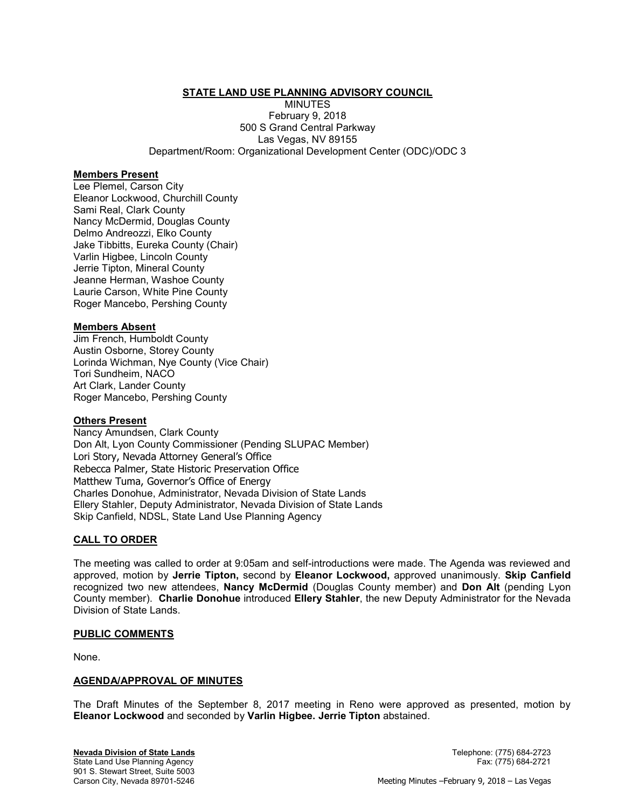# **STATE LAND USE PLANNING ADVISORY COUNCIL**

MINUTES February 9, 2018 500 S Grand Central Parkway Las Vegas, NV 89155 Department/Room: Organizational Development Center (ODC)/ODC 3

#### Members Present

Lee Plemel, Carson City Eleanor Lockwood, Churchill County Sami Real, Clark County Nancy McDermid, Douglas County Delmo Andreozzi, Elko County Jake Tibbitts, Eureka County (Chair) Varlin Higbee, Lincoln County Jerrie Tipton, Mineral County Jeanne Herman, Washoe County Laurie Carson, White Pine County Roger Mancebo, Pershing County

#### Members Absent

Jim French, Humboldt County Austin Osborne, Storey County Lorinda Wichman, Nye County (Vice Chair) Tori Sundheim, NACO Art Clark, Lander County Roger Mancebo, Pershing County

# **Others Present**

Nancy Amundsen, Clark County Don Alt, Lyon County Commissioner (Pending SLUPAC Member) Lori Story, Nevada Attorney General's Office Rebecca Palmer, State Historic Preservation Office Matthew Tuma, Governor's Office of Energy Charles Donohue, Administrator, Nevada Division of State Lands Ellery Stahler, Deputy Administrator, Nevada Division of State Lands Skip Canfield, NDSL, State Land Use Planning Agency

## CALL TO ORDER

The meeting was called to order at 9:05am and self-introductions were made. The Agenda was reviewed and approved, motion by Jerrie Tipton, second by Eleanor Lockwood, approved unanimously. Skip Canfield recognized two new attendees, Nancy McDermid (Douglas County member) and Don Alt (pending Lyon County member). Charlie Donohue introduced Ellery Stahler, the new Deputy Administrator for the Nevada Division of State Lands.

#### PUBLIC COMMENTS

None.

#### AGENDA/APPROVAL OF MINUTES

The Draft Minutes of the September 8, 2017 meeting in Reno were approved as presented, motion by Eleanor Lockwood and seconded by Varlin Higbee. Jerrie Tipton abstained.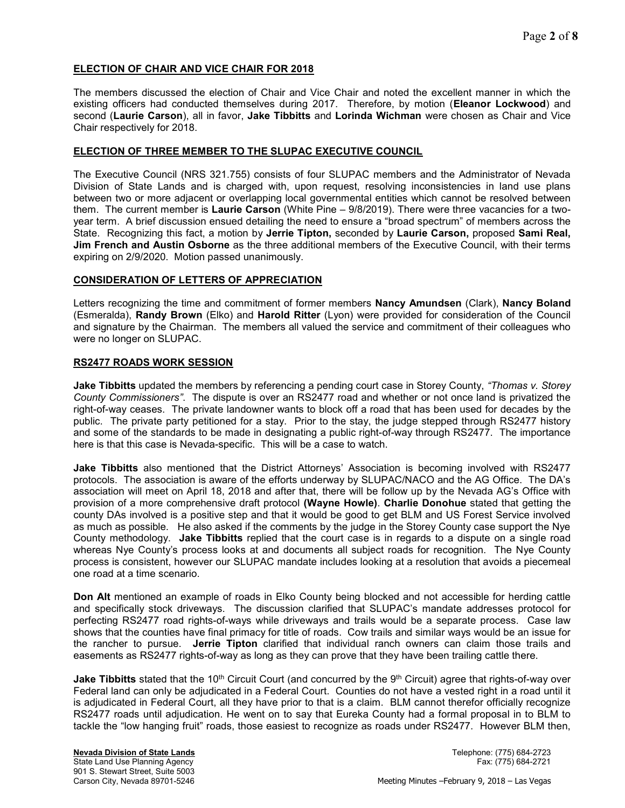# ELECTION OF CHAIR AND VICE CHAIR FOR 2018

The members discussed the election of Chair and Vice Chair and noted the excellent manner in which the existing officers had conducted themselves during 2017. Therefore, by motion (Eleanor Lockwood) and second (Laurie Carson), all in favor, Jake Tibbitts and Lorinda Wichman were chosen as Chair and Vice Chair respectively for 2018.

# ELECTION OF THREE MEMBER TO THE SLUPAC EXECUTIVE COUNCIL

The Executive Council (NRS 321.755) consists of four SLUPAC members and the Administrator of Nevada Division of State Lands and is charged with, upon request, resolving inconsistencies in land use plans between two or more adjacent or overlapping local governmental entities which cannot be resolved between them. The current member is Laurie Carson (White Pine – 9/8/2019). There were three vacancies for a twoyear term. A brief discussion ensued detailing the need to ensure a "broad spectrum" of members across the State. Recognizing this fact, a motion by Jerrie Tipton, seconded by Laurie Carson, proposed Sami Real, Jim French and Austin Osborne as the three additional members of the Executive Council, with their terms expiring on 2/9/2020. Motion passed unanimously.

# CONSIDERATION OF LETTERS OF APPRECIATION

Letters recognizing the time and commitment of former members Nancy Amundsen (Clark), Nancy Boland (Esmeralda), Randy Brown (Elko) and Harold Ritter (Lyon) were provided for consideration of the Council and signature by the Chairman. The members all valued the service and commitment of their colleagues who were no longer on SLUPAC.

# RS2477 ROADS WORK SESSION

Jake Tibbitts updated the members by referencing a pending court case in Storey County, "Thomas v. Storey County Commissioners". The dispute is over an RS2477 road and whether or not once land is privatized the right-of-way ceases. The private landowner wants to block off a road that has been used for decades by the public. The private party petitioned for a stay. Prior to the stay, the judge stepped through RS2477 history and some of the standards to be made in designating a public right-of-way through RS2477. The importance here is that this case is Nevada-specific. This will be a case to watch.

**Jake Tibbitts** also mentioned that the District Attorneys' Association is becoming involved with RS2477 protocols. The association is aware of the efforts underway by SLUPAC/NACO and the AG Office. The DA's association will meet on April 18, 2018 and after that, there will be follow up by the Nevada AG's Office with provision of a more comprehensive draft protocol (Wayne Howle). Charlie Donohue stated that getting the county DAs involved is a positive step and that it would be good to get BLM and US Forest Service involved as much as possible. He also asked if the comments by the judge in the Storey County case support the Nye County methodology. Jake Tibbitts replied that the court case is in regards to a dispute on a single road whereas Nye County's process looks at and documents all subject roads for recognition. The Nye County process is consistent, however our SLUPAC mandate includes looking at a resolution that avoids a piecemeal one road at a time scenario.

Don Alt mentioned an example of roads in Elko County being blocked and not accessible for herding cattle and specifically stock driveways. The discussion clarified that SLUPAC's mandate addresses protocol for perfecting RS2477 road rights-of-ways while driveways and trails would be a separate process. Case law shows that the counties have final primacy for title of roads. Cow trails and similar ways would be an issue for the rancher to pursue. **Jerrie Tipton** clarified that individual ranch owners can claim those trails and easements as RS2477 rights-of-way as long as they can prove that they have been trailing cattle there.

Jake Tibbitts stated that the 10<sup>th</sup> Circuit Court (and concurred by the 9<sup>th</sup> Circuit) agree that rights-of-way over Federal land can only be adjudicated in a Federal Court. Counties do not have a vested right in a road until it is adjudicated in Federal Court, all they have prior to that is a claim. BLM cannot therefor officially recognize RS2477 roads until adjudication. He went on to say that Eureka County had a formal proposal in to BLM to tackle the "low hanging fruit" roads, those easiest to recognize as roads under RS2477. However BLM then,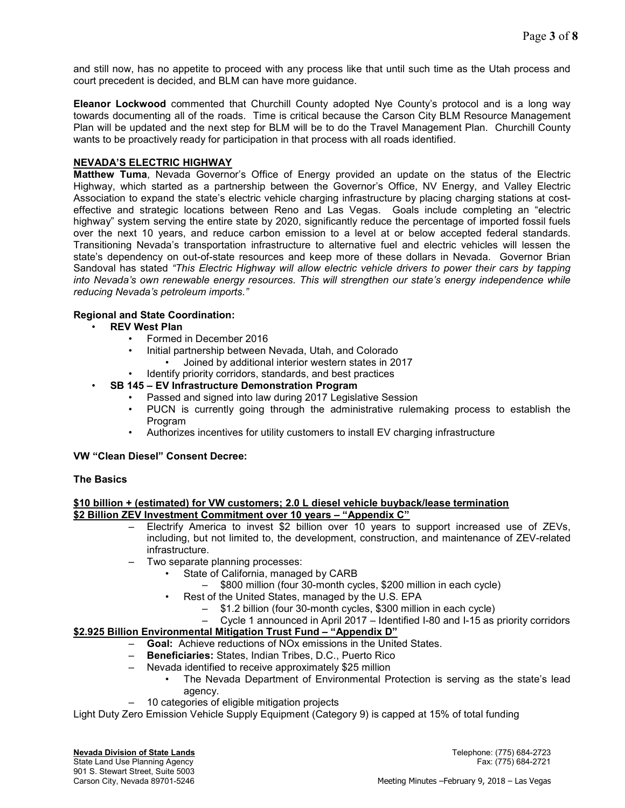and still now, has no appetite to proceed with any process like that until such time as the Utah process and court precedent is decided, and BLM can have more guidance.

Eleanor Lockwood commented that Churchill County adopted Nye County's protocol and is a long way towards documenting all of the roads. Time is critical because the Carson City BLM Resource Management Plan will be updated and the next step for BLM will be to do the Travel Management Plan. Churchill County wants to be proactively ready for participation in that process with all roads identified.

# NEVADA'S ELECTRIC HIGHWAY

Matthew Tuma, Nevada Governor's Office of Energy provided an update on the status of the Electric Highway, which started as a partnership between the Governor's Office, NV Energy, and Valley Electric Association to expand the state's electric vehicle charging infrastructure by placing charging stations at costeffective and strategic locations between Reno and Las Vegas. Goals include completing an "electric highway" system serving the entire state by 2020, significantly reduce the percentage of imported fossil fuels over the next 10 years, and reduce carbon emission to a level at or below accepted federal standards. Transitioning Nevada's transportation infrastructure to alternative fuel and electric vehicles will lessen the state's dependency on out-of-state resources and keep more of these dollars in Nevada. Governor Brian Sandoval has stated "This Electric Highway will allow electric vehicle drivers to power their cars by tapping into Nevada's own renewable energy resources. This will strengthen our state's energy independence while reducing Nevada's petroleum imports."

# Regional and State Coordination:

- REV West Plan
	- Formed in December 2016
	- Initial partnership between Nevada, Utah, and Colorado
		- Joined by additional interior western states in 2017
	- Identify priority corridors, standards, and best practices

# SB 145 – EV Infrastructure Demonstration Program

- Passed and signed into law during 2017 Legislative Session
- PUCN is currently going through the administrative rulemaking process to establish the Program
- Authorizes incentives for utility customers to install EV charging infrastructure

## VW "Clean Diesel" Consent Decree:

## The Basics

## \$10 billion + (estimated) for VW customers; 2.0 L diesel vehicle buyback/lease termination \$2 Billion ZEV Investment Commitment over 10 years – "Appendix C"

- Electrify America to invest \$2 billion over 10 years to support increased use of ZEVs, including, but not limited to, the development, construction, and maintenance of ZEV-related infrastructure.
- Two separate planning processes:
	- State of California, managed by CARB
		- \$800 million (four 30-month cycles, \$200 million in each cycle)
	- Rest of the United States, managed by the U.S. EPA
		- \$1.2 billion (four 30-month cycles, \$300 million in each cycle)
- Cycle 1 announced in April 2017 Identified I-80 and I-15 as priority corridors

# \$2.925 Billion Environmental Mitigation Trust Fund – "Appendix D"

- Goal: Achieve reductions of NOx emissions in the United States.
- Beneficiaries: States, Indian Tribes, D.C., Puerto Rico
- Nevada identified to receive approximately \$25 million
	- The Nevada Department of Environmental Protection is serving as the state's lead agency.
- 10 categories of eligible mitigation projects

Light Duty Zero Emission Vehicle Supply Equipment (Category 9) is capped at 15% of total funding

**Nevada Division of State Lands Newada Division of State Lands Telephone:** (775) 684-2723 State Land Use Planning Agency Fax: (775) 684-2721 901 S. Stewart Street, Suite 5003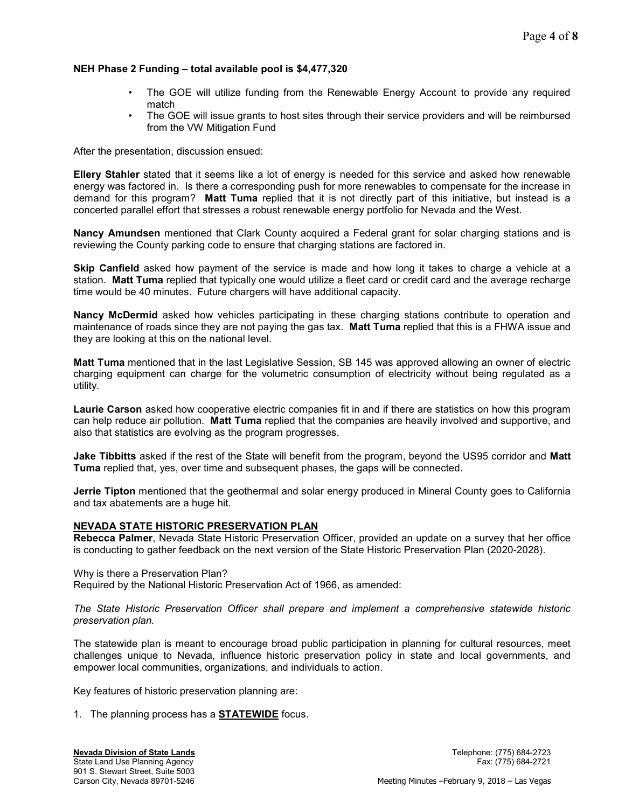# NEH Phase 2 Funding – total available pool is \$4,477,320

- The GOE will utilize funding from the Renewable Energy Account to provide any required match
- The GOE will issue grants to host sites through their service providers and will be reimbursed from the VW Mitigation Fund

After the presentation, discussion ensued:

Ellery Stahler stated that it seems like a lot of energy is needed for this service and asked how renewable energy was factored in. Is there a corresponding push for more renewables to compensate for the increase in demand for this program? Matt Tuma replied that it is not directly part of this initiative, but instead is a concerted parallel effort that stresses a robust renewable energy portfolio for Nevada and the West.

Nancy Amundsen mentioned that Clark County acquired a Federal grant for solar charging stations and is reviewing the County parking code to ensure that charging stations are factored in.

Skip Canfield asked how payment of the service is made and how long it takes to charge a vehicle at a station. Matt Tuma replied that typically one would utilize a fleet card or credit card and the average recharge time would be 40 minutes. Future chargers will have additional capacity.

Nancy McDermid asked how vehicles participating in these charging stations contribute to operation and maintenance of roads since they are not paying the gas tax. **Matt Tuma** replied that this is a FHWA issue and they are looking at this on the national level.

Matt Tuma mentioned that in the last Legislative Session, SB 145 was approved allowing an owner of electric charging equipment can charge for the volumetric consumption of electricity without being regulated as a utility.

Laurie Carson asked how cooperative electric companies fit in and if there are statistics on how this program can help reduce air pollution. Matt Tuma replied that the companies are heavily involved and supportive, and also that statistics are evolving as the program progresses.

Jake Tibbitts asked if the rest of the State will benefit from the program, beyond the US95 corridor and Matt Tuma replied that, yes, over time and subsequent phases, the gaps will be connected.

Jerrie Tipton mentioned that the geothermal and solar energy produced in Mineral County goes to California and tax abatements are a huge hit.

## NEVADA STATE HISTORIC PRESERVATION PLAN

Rebecca Palmer, Nevada State Historic Preservation Officer, provided an update on a survey that her office is conducting to gather feedback on the next version of the State Historic Preservation Plan (2020-2028).

Why is there a Preservation Plan? Required by the National Historic Preservation Act of 1966, as amended:

The State Historic Preservation Officer shall prepare and implement a comprehensive statewide historic preservation plan.

The statewide plan is meant to encourage broad public participation in planning for cultural resources, meet challenges unique to Nevada, influence historic preservation policy in state and local governments, and empower local communities, organizations, and individuals to action.

Key features of historic preservation planning are:

1. The planning process has a **STATEWIDE** focus.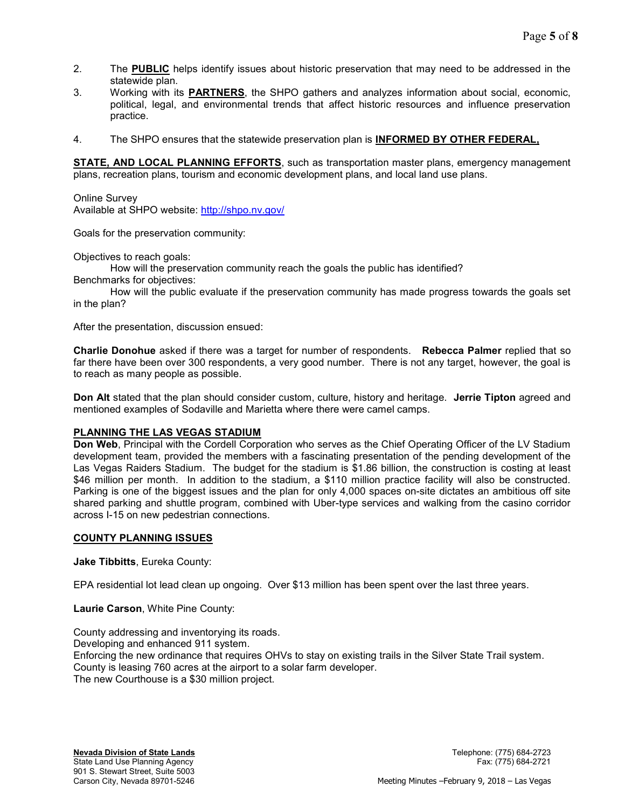- 2. The PUBLIC helps identify issues about historic preservation that may need to be addressed in the statewide plan.
- 3. Working with its PARTNERS, the SHPO gathers and analyzes information about social, economic, political, legal, and environmental trends that affect historic resources and influence preservation practice.
- 4. The SHPO ensures that the statewide preservation plan is **INFORMED BY OTHER FEDERAL**,

STATE, AND LOCAL PLANNING EFFORTS, such as transportation master plans, emergency management plans, recreation plans, tourism and economic development plans, and local land use plans.

Online Survey Available at SHPO website: http://shpo.nv.gov/

Goals for the preservation community:

Objectives to reach goals:

How will the preservation community reach the goals the public has identified?

Benchmarks for objectives:

 How will the public evaluate if the preservation community has made progress towards the goals set in the plan?

After the presentation, discussion ensued:

Charlie Donohue asked if there was a target for number of respondents. Rebecca Palmer replied that so far there have been over 300 respondents, a very good number. There is not any target, however, the goal is to reach as many people as possible.

Don Alt stated that the plan should consider custom, culture, history and heritage. Jerrie Tipton agreed and mentioned examples of Sodaville and Marietta where there were camel camps.

## PLANNING THE LAS VEGAS STADIUM

Don Web, Principal with the Cordell Corporation who serves as the Chief Operating Officer of the LV Stadium development team, provided the members with a fascinating presentation of the pending development of the Las Vegas Raiders Stadium. The budget for the stadium is \$1.86 billion, the construction is costing at least \$46 million per month. In addition to the stadium, a \$110 million practice facility will also be constructed. Parking is one of the biggest issues and the plan for only 4,000 spaces on-site dictates an ambitious off site shared parking and shuttle program, combined with Uber-type services and walking from the casino corridor across I-15 on new pedestrian connections.

## COUNTY PLANNING ISSUES

Jake Tibbitts, Eureka County:

EPA residential lot lead clean up ongoing. Over \$13 million has been spent over the last three years.

Laurie Carson, White Pine County:

County addressing and inventorying its roads. Developing and enhanced 911 system. Enforcing the new ordinance that requires OHVs to stay on existing trails in the Silver State Trail system. County is leasing 760 acres at the airport to a solar farm developer. The new Courthouse is a \$30 million project.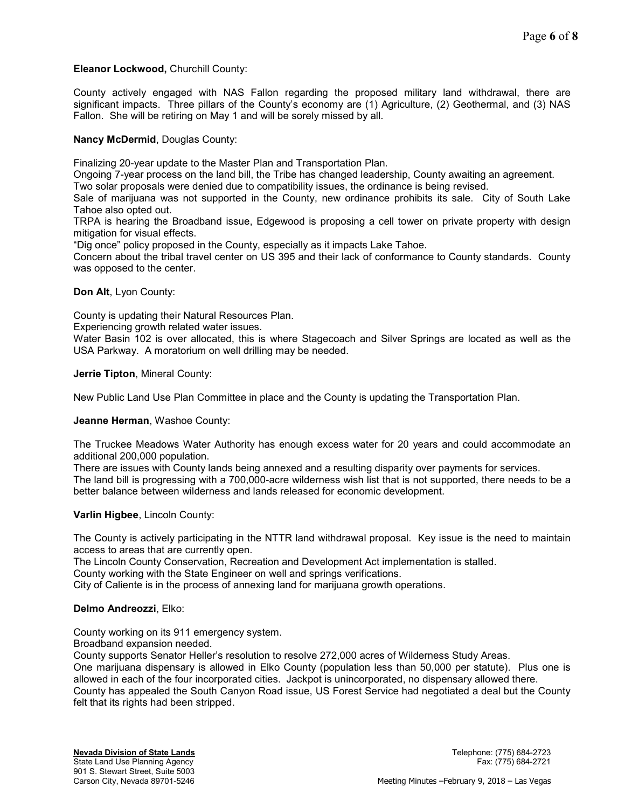## Eleanor Lockwood, Churchill County:

County actively engaged with NAS Fallon regarding the proposed military land withdrawal, there are significant impacts. Three pillars of the County's economy are (1) Agriculture, (2) Geothermal, and (3) NAS Fallon. She will be retiring on May 1 and will be sorely missed by all.

## Nancy McDermid, Douglas County:

Finalizing 20-year update to the Master Plan and Transportation Plan.

Ongoing 7-year process on the land bill, the Tribe has changed leadership, County awaiting an agreement.

Two solar proposals were denied due to compatibility issues, the ordinance is being revised.

Sale of marijuana was not supported in the County, new ordinance prohibits its sale. City of South Lake Tahoe also opted out.

TRPA is hearing the Broadband issue, Edgewood is proposing a cell tower on private property with design mitigation for visual effects.

"Dig once" policy proposed in the County, especially as it impacts Lake Tahoe.

Concern about the tribal travel center on US 395 and their lack of conformance to County standards. County was opposed to the center.

## Don Alt, Lyon County:

County is updating their Natural Resources Plan.

Experiencing growth related water issues.

Water Basin 102 is over allocated, this is where Stagecoach and Silver Springs are located as well as the USA Parkway. A moratorium on well drilling may be needed.

Jerrie Tipton, Mineral County:

New Public Land Use Plan Committee in place and the County is updating the Transportation Plan.

## Jeanne Herman, Washoe County:

The Truckee Meadows Water Authority has enough excess water for 20 years and could accommodate an additional 200,000 population.

There are issues with County lands being annexed and a resulting disparity over payments for services. The land bill is progressing with a 700,000-acre wilderness wish list that is not supported, there needs to be a better balance between wilderness and lands released for economic development.

## Varlin Higbee, Lincoln County:

The County is actively participating in the NTTR land withdrawal proposal. Key issue is the need to maintain access to areas that are currently open.

The Lincoln County Conservation, Recreation and Development Act implementation is stalled.

County working with the State Engineer on well and springs verifications.

City of Caliente is in the process of annexing land for marijuana growth operations.

## Delmo Andreozzi, Elko:

County working on its 911 emergency system.

Broadband expansion needed.

County supports Senator Heller's resolution to resolve 272,000 acres of Wilderness Study Areas. One marijuana dispensary is allowed in Elko County (population less than 50,000 per statute). Plus one is allowed in each of the four incorporated cities. Jackpot is unincorporated, no dispensary allowed there. County has appealed the South Canyon Road issue, US Forest Service had negotiated a deal but the County felt that its rights had been stripped.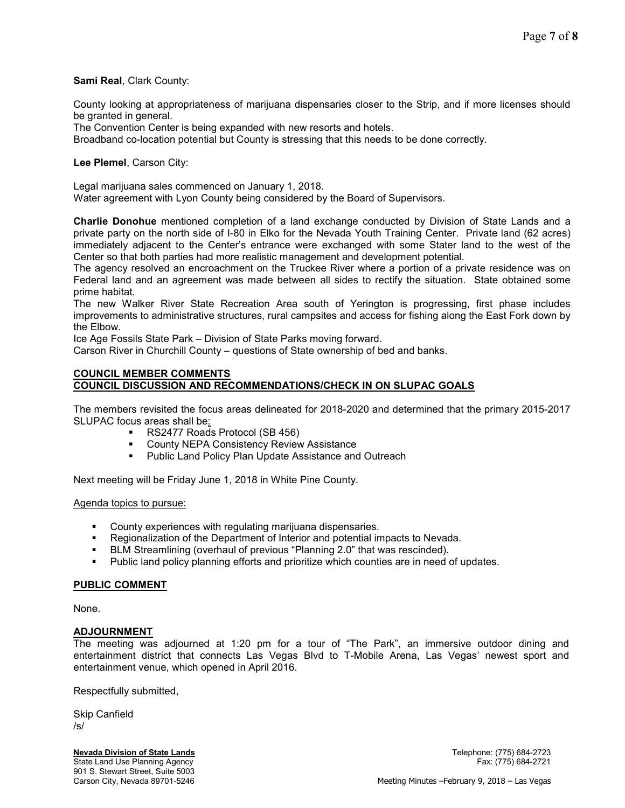## Sami Real, Clark County:

County looking at appropriateness of marijuana dispensaries closer to the Strip, and if more licenses should be granted in general.

The Convention Center is being expanded with new resorts and hotels.

Broadband co-location potential but County is stressing that this needs to be done correctly.

#### Lee Plemel, Carson City:

Legal marijuana sales commenced on January 1, 2018.

Water agreement with Lyon County being considered by the Board of Supervisors.

Charlie Donohue mentioned completion of a land exchange conducted by Division of State Lands and a private party on the north side of I-80 in Elko for the Nevada Youth Training Center. Private land (62 acres) immediately adjacent to the Center's entrance were exchanged with some Stater land to the west of the Center so that both parties had more realistic management and development potential.

The agency resolved an encroachment on the Truckee River where a portion of a private residence was on Federal land and an agreement was made between all sides to rectify the situation. State obtained some prime habitat.

The new Walker River State Recreation Area south of Yerington is progressing, first phase includes improvements to administrative structures, rural campsites and access for fishing along the East Fork down by the Elbow.

Ice Age Fossils State Park – Division of State Parks moving forward.

Carson River in Churchill County – questions of State ownership of bed and banks.

#### COUNCIL MEMBER COMMENTS COUNCIL DISCUSSION AND RECOMMENDATIONS/CHECK IN ON SLUPAC GOALS

The members revisited the focus areas delineated for 2018-2020 and determined that the primary 2015-2017 SLUPAC focus areas shall be:

- RS2477 Roads Protocol (SB 456)
- **County NEPA Consistency Review Assistance**
- **Public Land Policy Plan Update Assistance and Outreach**

Next meeting will be Friday June 1, 2018 in White Pine County.

#### Agenda topics to pursue:

- County experiences with regulating marijuana dispensaries.
- Regionalization of the Department of Interior and potential impacts to Nevada.
- **BLM Streamlining (overhaul of previous "Planning 2.0" that was rescinded).**
- Public land policy planning efforts and prioritize which counties are in need of updates.

#### PUBLIC COMMENT

None.

## **ADJOURNMENT**

The meeting was adjourned at 1:20 pm for a tour of "The Park", an immersive outdoor dining and entertainment district that connects Las Vegas Blvd to T-Mobile Arena, Las Vegas' newest sport and entertainment venue, which opened in April 2016.

Respectfully submitted,

Skip Canfield /s/

Nevada Division of State Lands Telephone: (775) 684-2723 State Land Use Planning Agency Fax: (775) 684-2721 901 S. Stewart Street, Suite 5003